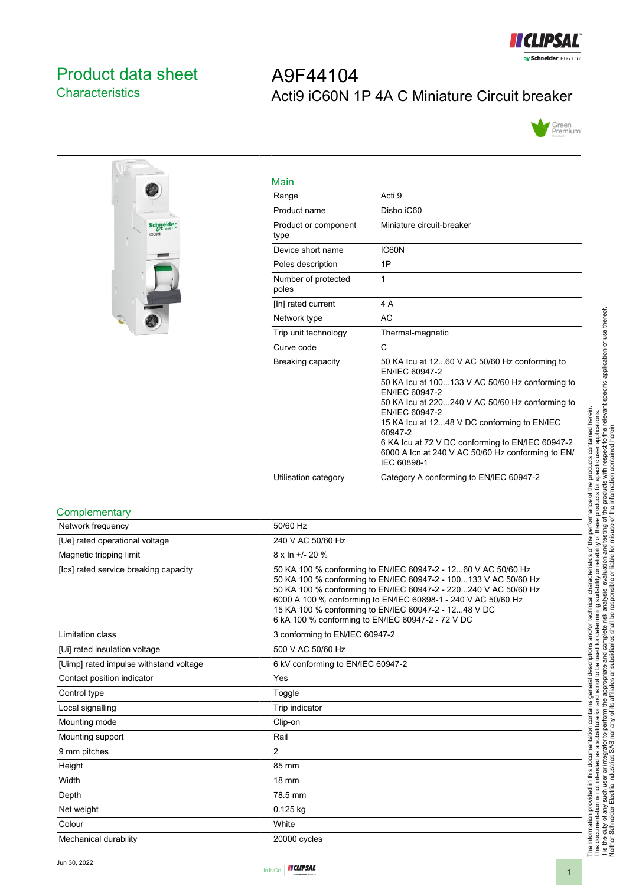

## <span id="page-0-0"></span>Product data sheet **Characteristics**

# A9F44104 Acti9 iC60N 1P 4A C Miniature Circuit breaker





| Main                         |                                                                                                                                                                                                                                                                                                                                                                                                    |
|------------------------------|----------------------------------------------------------------------------------------------------------------------------------------------------------------------------------------------------------------------------------------------------------------------------------------------------------------------------------------------------------------------------------------------------|
| Range                        | Acti 9                                                                                                                                                                                                                                                                                                                                                                                             |
| Product name                 | Disbo iC60                                                                                                                                                                                                                                                                                                                                                                                         |
| Product or component<br>type | Miniature circuit-breaker                                                                                                                                                                                                                                                                                                                                                                          |
| Device short name            | <b>IC60N</b>                                                                                                                                                                                                                                                                                                                                                                                       |
| Poles description            | 1P                                                                                                                                                                                                                                                                                                                                                                                                 |
| Number of protected<br>poles | 1                                                                                                                                                                                                                                                                                                                                                                                                  |
| [In] rated current           | 4 A                                                                                                                                                                                                                                                                                                                                                                                                |
| Network type                 | AC                                                                                                                                                                                                                                                                                                                                                                                                 |
| Trip unit technology         | Thermal-magnetic                                                                                                                                                                                                                                                                                                                                                                                   |
| Curve code                   | C                                                                                                                                                                                                                                                                                                                                                                                                  |
| Breaking capacity            | 50 KA lcu at 1260 V AC 50/60 Hz conforming to<br><b>FN/IFC 60947-2</b><br>50 KA lcu at 100133 V AC 50/60 Hz conforming to<br>EN/IEC 60947-2<br>50 KA Icu at 220240 V AC 50/60 Hz conforming to<br>EN/IEC 60947-2<br>15 KA Icu at 1248 V DC conforming to EN/IEC<br>60947-2<br>6 KA Icu at 72 V DC conforming to EN/IEC 60947-2<br>6000 A Icn at 240 V AC 50/60 Hz conforming to EN/<br>IEC 60898-1 |
| Utilisation category         | Category A conforming to EN/IEC 60947-2                                                                                                                                                                                                                                                                                                                                                            |

#### **Complementary**

| Network frequency                      | 50/60 Hz                                                                                                                                                                                                                                                                                                                                                                          |
|----------------------------------------|-----------------------------------------------------------------------------------------------------------------------------------------------------------------------------------------------------------------------------------------------------------------------------------------------------------------------------------------------------------------------------------|
| [Ue] rated operational voltage         | 240 V AC 50/60 Hz                                                                                                                                                                                                                                                                                                                                                                 |
| Magnetic tripping limit                | $8 \times \ln +1$ - 20 %                                                                                                                                                                                                                                                                                                                                                          |
| [Ics] rated service breaking capacity  | 50 KA 100 % conforming to EN/IEC 60947-2 - 1260 V AC 50/60 Hz<br>50 KA 100 % conforming to EN/IEC 60947-2 - 100133 V AC 50/60 Hz<br>50 KA 100 % conforming to EN/IEC 60947-2 - 220240 V AC 50/60 Hz<br>6000 A 100 % conforming to EN/IEC 60898-1 - 240 V AC 50/60 Hz<br>15 KA 100 % conforming to EN/IEC 60947-2 - 1248 V DC<br>6 kA 100 % conforming to EN/IEC 60947-2 - 72 V DC |
| Limitation class                       | 3 conforming to EN/IEC 60947-2                                                                                                                                                                                                                                                                                                                                                    |
| [Ui] rated insulation voltage          | 500 V AC 50/60 Hz                                                                                                                                                                                                                                                                                                                                                                 |
| [Uimp] rated impulse withstand voltage | 6 kV conforming to EN/IEC 60947-2                                                                                                                                                                                                                                                                                                                                                 |
| Contact position indicator             | Yes                                                                                                                                                                                                                                                                                                                                                                               |
| Control type                           | Toggle                                                                                                                                                                                                                                                                                                                                                                            |
| Local signalling                       | Trip indicator                                                                                                                                                                                                                                                                                                                                                                    |
| Mounting mode                          | Clip-on                                                                                                                                                                                                                                                                                                                                                                           |
| Mounting support                       | Rail                                                                                                                                                                                                                                                                                                                                                                              |
| 9 mm pitches                           | $\overline{2}$                                                                                                                                                                                                                                                                                                                                                                    |
| Height                                 | 85 mm                                                                                                                                                                                                                                                                                                                                                                             |
| Width                                  | <b>18 mm</b>                                                                                                                                                                                                                                                                                                                                                                      |
| Depth                                  | 78.5 mm                                                                                                                                                                                                                                                                                                                                                                           |
| Net weight                             | 0.125 kg                                                                                                                                                                                                                                                                                                                                                                          |
| Colour                                 | White                                                                                                                                                                                                                                                                                                                                                                             |
| Mechanical durability                  | 20000 cycles                                                                                                                                                                                                                                                                                                                                                                      |